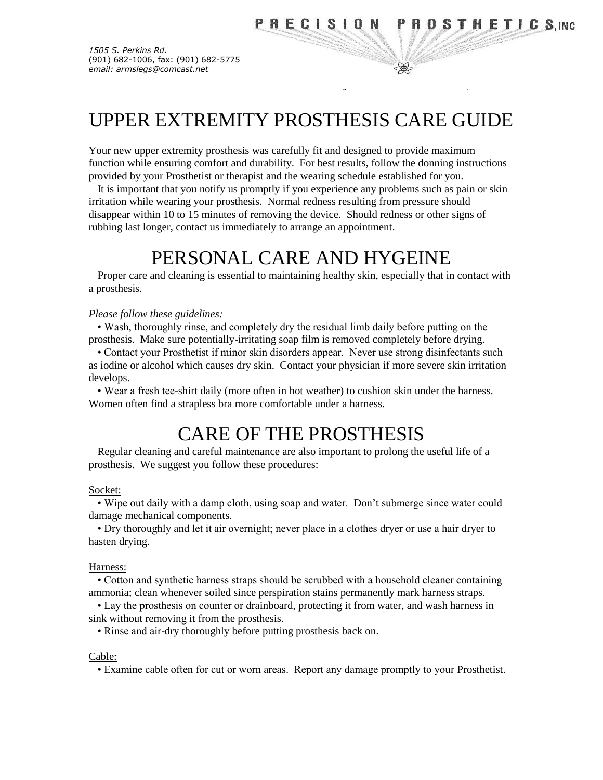₩

*1505 S. Perkins Rd.* (901) 682-1006, fax: (901) 682-5775 *email: armslegs@comcast.net*

# UPPER EXTREMITY PROSTHESIS CARE GUIDE

 *"Taking Orthotics and Prosthetics One Step Further"*

Your new upper extremity prosthesis was carefully fit and designed to provide maximum function while ensuring comfort and durability. For best results, follow the donning instructions provided by your Prosthetist or therapist and the wearing schedule established for you.

It is important that you notify us promptly if you experience any problems such as pain or skin irritation while wearing your prosthesis. Normal redness resulting from pressure should disappear within 10 to 15 minutes of removing the device. Should redness or other signs of rubbing last longer, contact us immediately to arrange an appointment.

# PERSONAL CARE AND HYGEINE

Proper care and cleaning is essential to maintaining healthy skin, especially that in contact with a prosthesis.

#### *Please follow these guidelines:*

• Wash, thoroughly rinse, and completely dry the residual limb daily before putting on the prosthesis. Make sure potentially-irritating soap film is removed completely before drying.

• Contact your Prosthetist if minor skin disorders appear. Never use strong disinfectants such as iodine or alcohol which causes dry skin. Contact your physician if more severe skin irritation develops.

• Wear a fresh tee-shirt daily (more often in hot weather) to cushion skin under the harness. Women often find a strapless bra more comfortable under a harness.

# CARE OF THE PROSTHESIS

Regular cleaning and careful maintenance are also important to prolong the useful life of a prosthesis. We suggest you follow these procedures:

#### Socket:

• Wipe out daily with a damp cloth, using soap and water. Don't submerge since water could damage mechanical components.

• Dry thoroughly and let it air overnight; never place in a clothes dryer or use a hair dryer to hasten drying.

### Harness:

• Cotton and synthetic harness straps should be scrubbed with a household cleaner containing ammonia; clean whenever soiled since perspiration stains permanently mark harness straps.

• Lay the prosthesis on counter or drainboard, protecting it from water, and wash harness in sink without removing it from the prosthesis.

• Rinse and air-dry thoroughly before putting prosthesis back on.

#### Cable:

• Examine cable often for cut or worn areas. Report any damage promptly to your Prosthetist.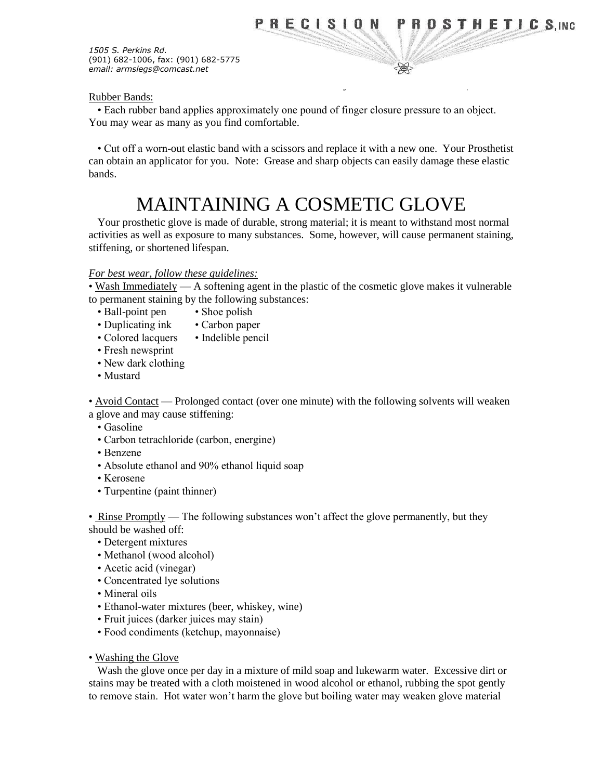₩

*1505 S. Perkins Rd.* (901) 682-1006, fax: (901) 682-5775 *email: armslegs@comcast.net*

## Rubber Bands:

• Each rubber band applies approximately one pound of finger closure pressure to an object. You may wear as many as you find comfortable.

 *"Taking Orthotics and Prosthetics One Step Further"*

• Cut off a worn-out elastic band with a scissors and replace it with a new one. Your Prosthetist can obtain an applicator for you. Note: Grease and sharp objects can easily damage these elastic bands.

# MAINTAINING A COSMETIC GLOVE

Your prosthetic glove is made of durable, strong material; it is meant to withstand most normal activities as well as exposure to many substances. Some, however, will cause permanent staining, stiffening, or shortened lifespan.

## *For best wear, follow these guidelines:*

• Wash Immediately — A softening agent in the plastic of the cosmetic glove makes it vulnerable to permanent staining by the following substances:

- Ball-point pen Shoe polish
- Duplicating ink Carbon paper
- Colored lacquers Indelible pencil
- Fresh newsprint
- New dark clothing
- Mustard

• Avoid Contact — Prolonged contact (over one minute) with the following solvents will weaken

a glove and may cause stiffening:

- Gasoline
- Carbon tetrachloride (carbon, energine)
- Benzene
- Absolute ethanol and 90% ethanol liquid soap
- Kerosene
- Turpentine (paint thinner)

• Rinse Promptly — The following substances won't affect the glove permanently, but they

should be washed off:

- Detergent mixtures
- Methanol (wood alcohol)
- Acetic acid (vinegar)
- Concentrated lye solutions
- Mineral oils
- Ethanol-water mixtures (beer, whiskey, wine)
- Fruit juices (darker juices may stain)
- Food condiments (ketchup, mayonnaise)
- Washing the Glove

Wash the glove once per day in a mixture of mild soap and lukewarm water. Excessive dirt or stains may be treated with a cloth moistened in wood alcohol or ethanol, rubbing the spot gently to remove stain. Hot water won't harm the glove but boiling water may weaken glove material